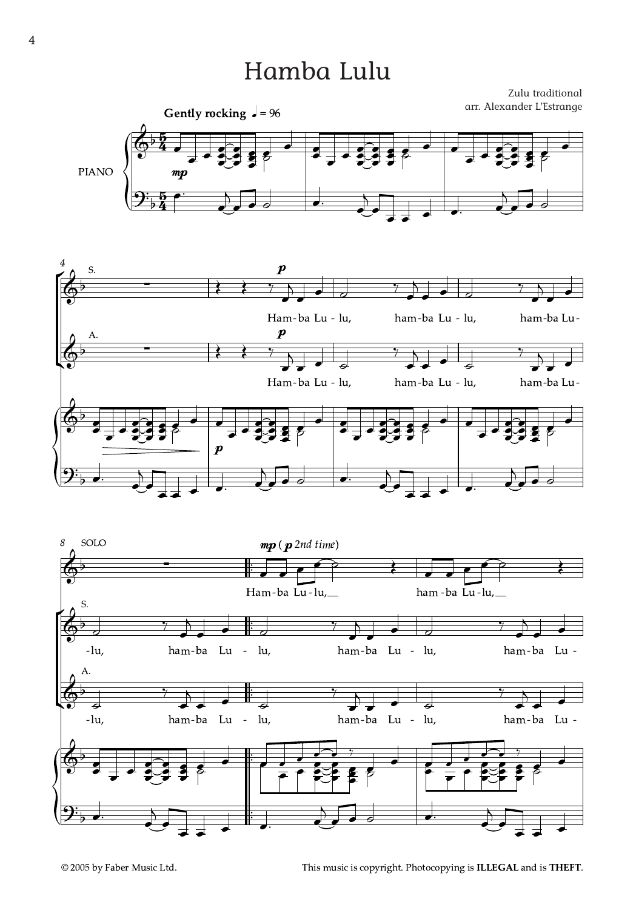## Hamba Lulu

Zulu traditional arr. Alexander L'Estrange







This music is copyright. Photocopying is ILLEGAL and is THEFT.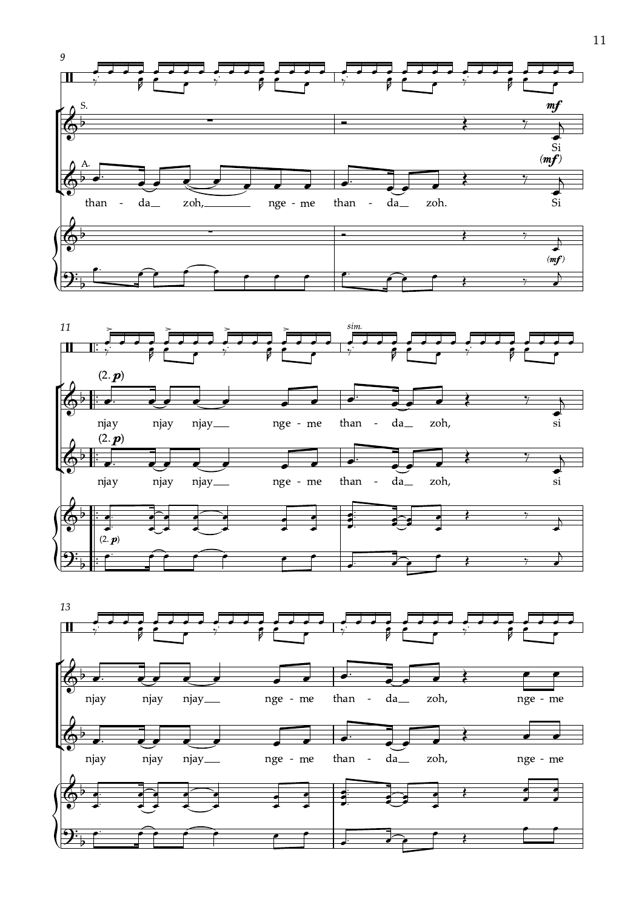